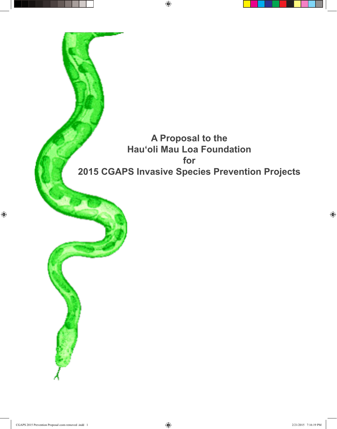

 $\bigoplus$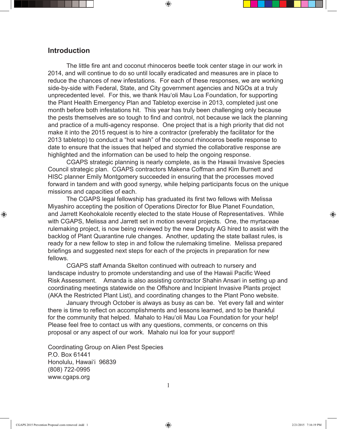## **Introduction**

 The little fire ant and coconut rhinoceros beetle took center stage in our work in 2014, and will continue to do so until locally eradicated and measures are in place to reduce the chances of new infestations. For each of these responses, we are working side-by-side with Federal, State, and City government agencies and NGOs at a truly unprecedented level. For this, we thank Hauʻoli Mau Loa Foundation, for supporting the Plant Health Emergency Plan and Tabletop exercise in 2013, completed just one month before both infestations hit. This year has truly been challenging only because the pests themselves are so tough to find and control, not because we lack the planning and practice of a multi-agency response. One project that is a high priority that did not make it into the 2015 request is to hire a contractor (preferably the facilitator for the 2013 tabletop) to conduct a "hot wash" of the coconut rhinoceros beetle response to date to ensure that the issues that helped and stymied the collaborative response are highlighted and the information can be used to help the ongoing response.

 $\textcircled{\scriptsize{+}}$ 

 CGAPS strategic planning is nearly complete, as is the Hawaii Invasive Species Council strategic plan. CGAPS contractors Makena Coffman and Kim Burnett and HISC planner Emily Montgomery succeeded in ensuring that the processes moved forward in tandem and with good synergy, while helping participants focus on the unique missions and capacities of each.

 The CGAPS legal fellowship has graduated its first two fellows with Melissa Miyashiro accepting the position of Operations Director for Blue Planet Foundation, and Jarrett Keohokalole recently elected to the state House of Representatives. While with CGAPS, Melissa and Jarrett set in motion several projects. One, the myrtaceae rulemaking project, is now being reviewed by the new Deputy AG hired to assist with the backlog of Plant Quarantine rule changes. Another, updating the state ballast rules, is ready for a new fellow to step in and follow the rulemaking timeline. Melissa prepared briefings and suggested next steps for each of the projects in preparation for new fellows.

 CGAPS staff Amanda Skelton continued with outreach to nursery and landscape industry to promote understanding and use of the Hawaii Pacific Weed Risk Assessment. Amanda is also assisting contractor Shahin Ansari in setting up and coordinating meetings statewide on the Offshore and Incipient Invasive Plants project (AKA the Restricted Plant List), and coordinating changes to the Plant Pono website.

 January through October is always as busy as can be. Yet every fall and winter there is time to reflect on accomplishments and lessons learned, and to be thankful for the community that helped. Mahalo to Hauʻoli Mau Loa Foundation for your help! Please feel free to contact us with any questions, comments, or concerns on this proposal or any aspect of our work. Mahalo nui loa for your support!

Coordinating Group on Alien Pest Species P.O. Box 61441 Honolulu, Hawaiʻi 96839 (808) 722-0995 www.cgaps.org

1

⊕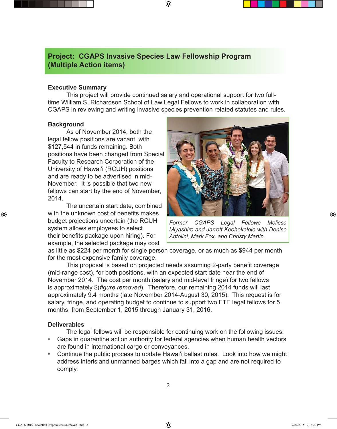## **Project: CGAPS Invasive Species Law Fellowship Program (Multiple Action items)**

## **Executive Summary**

 This project will provide continued salary and operational support for two fulltime William S. Richardson School of Law Legal Fellows to work in collaboration with CGAPS in reviewing and writing invasive species prevention related statutes and rules.

⊕

### **Background**

⊕

 As of November 2014, both the legal fellow positions are vacant, with \$127,544 in funds remaining. Both positions have been changed from Special Faculty to Research Corporation of the University of Hawaiʻi (RCUH) positions and are ready to be advertised in mid-November. It is possible that two new fellows can start by the end of November, 2014.

 The uncertain start date, combined with the unknown cost of benefits makes budget projections uncertain (the RCUH system allows employees to select their benefits package upon hiring). For example, the selected package may cost



*Former CGAPS Legal Fellows Melissa Miyashiro and Jarrett Keohokalole with Denise Antolini, Mark Fox, and Christy Martin.* 

as little as \$224 per month for single person coverage, or as much as \$944 per month for the most expensive family coverage.

 This proposal is based on projected needs assuming 2-party benefit coverage (mid-range cost), for both positions, with an expected start date near the end of November 2014. The cost per month (salary and mid-level fringe) for two fellows is approximately \$(*figure removed*). Therefore, our remaining 2014 funds will last approximately 9.4 months (late November 2014-August 30, 2015). This request is for salary, fringe, and operating budget to continue to support two FTE legal fellows for 5 months, from September 1, 2015 through January 31, 2016.

## **Deliverables**

 The legal fellows will be responsible for continuing work on the following issues:

- Gaps in quarantine action authority for federal agencies when human health vectors are found in international cargo or conveyances.
- Continue the public process to update Hawai'i ballast rules. Look into how we might address interisland unmanned barges which fall into a gap and are not required to comply.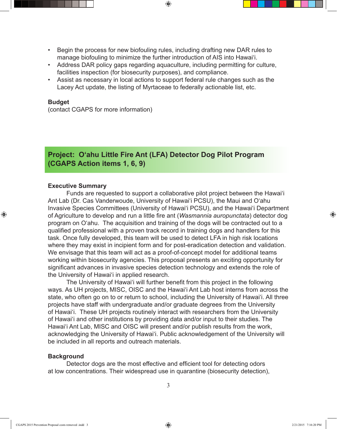Begin the process for new biofouling rules, including drafting new DAR rules to manage biofouling to minimize the further introduction of AIS into Hawaiʻi.

 $\textcircled{\scriptsize{+}}$ 

- • Address DAR policy gaps regarding aquaculture, including permitting for culture, facilities inspection (for biosecurity purposes), and compliance.
- Assist as necessary in local actions to support federal rule changes such as the Lacey Act update, the listing of Myrtaceae to federally actionable list, etc.

#### **Budget**

⊕

(contact CGAPS for more information)

# **Project: Oʻahu Little Fire Ant (LFA) Detector Dog Pilot Program (CGAPS Action items 1, 6, 9)**

### **Executive Summary**

 Funds are requested to support a collaborative pilot project between the Hawaiʻi Ant Lab (Dr. Cas Vanderwoude, University of Hawaiʻi PCSU), the Maui and Oʻahu Invasive Species Committees (University of Hawaiʻi PCSU), and the Hawaiʻi Department of Agriculture to develop and run a little fire ant (*Wasmannia auropunctata*) detector dog program on Oʻahu. The acquisition and training of the dogs will be contracted out to a qualified professional with a proven track record in training dogs and handlers for this task. Once fully developed, this team will be used to detect LFA in high risk locations where they may exist in incipient form and for post-eradication detection and validation. We envisage that this team will act as a proof-of-concept model for additional teams working within biosecurity agencies. This proposal presents an exciting opportunity for significant advances in invasive species detection technology and extends the role of the University of Hawaiʻi in applied research.

 The University of Hawaiʻi will further benefit from this project in the following ways. As UH projects, MISC, OISC and the Hawaiʻi Ant Lab host interns from across the state, who often go on to or return to school, including the University of Hawai'i. All three projects have staff with undergraduate and/or graduate degrees from the University of Hawai'i. These UH projects routinely interact with researchers from the University of Hawai'i and other institutions by providing data and/or input to their studies. The Hawaiʻi Ant Lab, MISC and OISC will present and/or publish results from the work, acknowledging the University of Hawai'i. Public acknowledgement of the University will be included in all reports and outreach materials.

#### **Background**

Detector dogs are the most effective and efficient tool for detecting odors at low concentrations. Their widespread use in quarantine (biosecurity detection),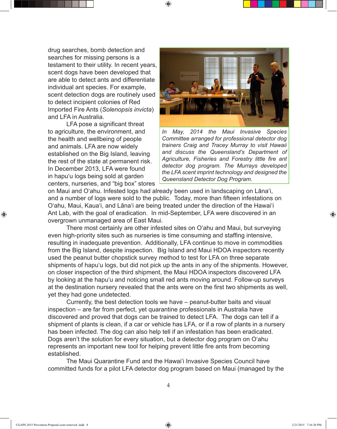drug searches, bomb detection and searches for missing persons is a testament to their utility. In recent years, scent dogs have been developed that are able to detect ants and differentiate individual ant species. For example, scent detection dogs are routinely used to detect incipient colonies of Red Imported Fire Ants (*Solenopsis invicta*) and LFA in Australia.

 LFA pose a significant threat to agriculture, the environment, and the health and wellbeing of people and animals. LFA are now widely established on the Big Island, leaving the rest of the state at permanent risk. In December 2013, LFA were found in hapuʻu logs being sold at garden centers, nurseries, and "big box" stores



*In May, 2014 the Maui Invasive Species Committee arranged for professional detector dog trainers Craig and Tracey Murray to visit Hawaii and discuss the Queensland's Department of Agriculture, Fisheries and Forestry little fire ant detector dog program. The Murrays developed the LFA scent imprint technology and designed the Queensland Detector Dog Program.*

on Maui and Oʻahu. Infested logs had already been used in landscaping on Lānaʻi, and a number of logs were sold to the public. Today, more than fifteen infestations on Oʻahu, Maui, Kauaʻi, and Lānaʻi are being treated under the direction of the Hawaiʻi Ant Lab, with the goal of eradication. In mid-September, LFA were discovered in an overgrown unmanaged area of East Maui.

 $\textcircled{\scriptsize{+}}$ 

 There most certainly are other infested sites on Oʻahu and Maui, but surveying even high-priority sites such as nurseries is time consuming and staffing intensive, resulting in inadequate prevention. Additionally, LFA continue to move in commodities from the Big Island, despite inspection. Big Island and Maui HDOA inspectors recently used the peanut butter chopstick survey method to test for LFA on three separate shipments of hapuʻu logs, but did not pick up the ants in any of the shipments. However, on closer inspection of the third shipment, the Maui HDOA inspectors discovered LFA by looking at the hapuʻu and noticing small red ants moving around. Follow-up surveys at the destination nursery revealed that the ants were on the first two shipments as well, yet they had gone undetected.

 Currently, the best detection tools we have – peanut-butter baits and visual inspection – are far from perfect, yet quarantine professionals in Australia have discovered and proved that dogs can be trained to detect LFA. The dogs can tell if a shipment of plants is clean, if a car or vehicle has LFA, or if a row of plants in a nursery has been infected. The dog can also help tell if an infestation has been eradicated. Dogs aren't the solution for every situation, but a detector dog program on Oʻahu represents an important new tool for helping prevent little fire ants from becoming established.

 The Maui Quarantine Fund and the Hawaiʻi Invasive Species Council have committed funds for a pilot LFA detector dog program based on Maui (managed by the

⊕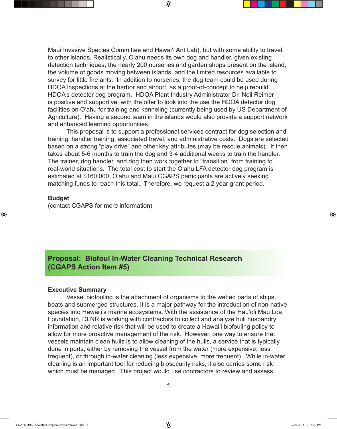Maui Invasive Species Committee and Hawaiʻi Ant Lab), but with some ability to travel to other islands. Realistically, Oʻahu needs its own dog and handler, given existing detection techniques, the nearly 200 nurseries and garden shops present on the island, the volume of goods moving between islands, and the limited resources available to survey for little fire ants. In addition to nurseries, the dog team could be used during HDOA inspections at the harbor and airport, as a proof-of-concept to help rebuild HDOA's detector dog program. HDOA Plant Industry Administrator Dr. Neil Reimer is positive and supportive, with the offer to look into the use the HDOA detector dog facilities on Oʻahu for training and kenneling (currently being used by US Department of Agriculture). Having a second team in the islands would also provide a support network and enhanced learning opportunities.

 $\textcircled{\scriptsize{+}}$ 

 This proposal is to support a professional services contract for dog selection and training, handler training, associated travel, and administrative costs. Dogs are selected based on a strong "play drive" and other key attributes (may be rescue animals). It then takes about 5-6 months to train the dog and 3-4 additional weeks to train the handler. The trainer, dog handler, and dog then work together to "transition" from training to real-world situations. The total cost to start the Oʻahu LFA detector dog program is estimated at \$160,000. Oʻahu and Maui CGAPS participants are actively seeking matching funds to reach this total. Therefore, we request a 2 year grant period.

## **Budget**

⊕

(contact CGAPS for more information)

# **Proposal: Biofoul In-Water Cleaning Technical Research (CGAPS Action Item #5)**

#### **Executive Summary**

 Vessel biofouling is the attachment of organisms to the wetted parts of ships, boats and submerged structures. It is a major pathway for the introduction of non-native species into Hawaiʻi's marine ecosystems. With the assistance of the Hauʻoli Mau Loa Foundation, DLNR is working with contractors to collect and analyze hull husbandry information and relative risk that will be used to create a Hawaiʻi biofouling policy to allow for more proactive management of the risk. However, one way to ensure that vessels maintain clean hulls is to allow cleaning of the hulls, a service that is typically done in ports, either by removing the vessel from the water (more expensive, less frequent), or through in-water cleaning (less expensive, more frequent). While in-water cleaning is an important tool for reducing biosecurity risks, it also carries some risk which must be managed. This project would use contractors to review and assess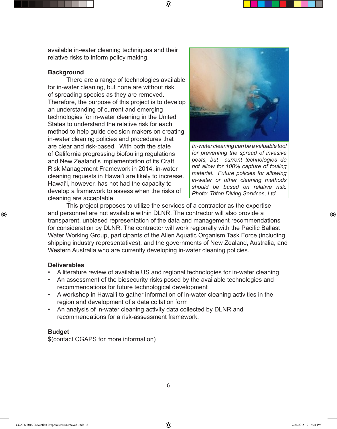available in-water cleaning techniques and their relative risks to inform policy making.

## **Background**

 There are a range of technologies available for in-water cleaning, but none are without risk of spreading species as they are removed. Therefore, the purpose of this project is to develop an understanding of current and emerging technologies for in-water cleaning in the United States to understand the relative risk for each method to help guide decision makers on creating in-water cleaning policies and procedures that are clear and risk-based. With both the state of California progressing biofouling regulations and New Zealand's implementation of its Craft Risk Management Framework in 2014, in-water cleaning requests in Hawaiʻi are likely to increase. Hawaiʻi, however, has not had the capacity to develop a framework to assess when the risks of cleaning are acceptable.



*In-water cleaning can be a valuable tool for preventing the spread of invasive pests, but current technologies do not allow for 100% capture of fouling material. Future policies for allowing in-water or other cleaning methods should be based on relative risk. Photo: Triton Diving Services, Ltd.*

 This project proposes to utilize the services of a contractor as the expertise and personnel are not available within DLNR. The contractor will also provide a transparent, unbiased representation of the data and management recommendations for consideration by DLNR. The contractor will work regionally with the Pacific Ballast Water Working Group, participants of the Alien Aquatic Organism Task Force (including shipping industry representatives), and the governments of New Zealand, Australia, and Western Australia who are currently developing in-water cleaning policies.

⊕

### **Deliverables**

⊕

- A literature review of available US and regional technologies for in-water cleaning
- An assessment of the biosecurity risks posed by the available technologies and recommendations for future technological development
- • A workshop in Hawaiʻi to gather information of in-water cleaning activities in the region and development of a data collation form
- An analysis of in-water cleaning activity data collected by DLNR and recommendations for a risk-assessment framework.

#### **Budget**

\$(contact CGAPS for more information)

CGAPS 2015 Prevention Proposal costs removed .indd 6 2/21/2015 7:16:21 PM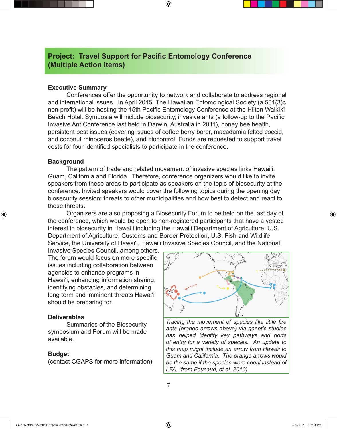# **Project: Travel Support for Pacific Entomology Conference (Multiple Action items)**

## **Executive Summary**

 Conferences offer the opportunity to network and collaborate to address regional and international issues. In April 2015, The Hawaiian Entomological Society (a 501(3)c non-profit) will be hosting the 15th Pacific Entomology Conference at the Hilton Waikīkī Beach Hotel. Symposia will include biosecurity, invasive ants (a follow-up to the Pacific Invasive Ant Conference last held in Darwin, Australia in 2011), honey bee health, persistent pest issues (covering issues of coffee berry borer, macadamia felted coccid, and coconut rhinoceros beetle), and biocontrol. Funds are requested to support travel costs for four identified specialists to participate in the conference.

⊕

#### **Background**

⊕

 The pattern of trade and related movement of invasive species links Hawaiʻi, Guam, California and Florida. Therefore, conference organizers would like to invite speakers from these areas to participate as speakers on the topic of biosecurity at the conference. Invited speakers would cover the following topics during the opening day biosecurity session: threats to other municipalities and how best to detect and react to those threats.

 Organizers are also proposing a Biosecurity Forum to be held on the last day of the conference, which would be open to non-registered participants that have a vested interest in biosecurity in Hawaiʻi including the Hawaiʻi Department of Agriculture, U.S. Department of Agriculture, Customs and Border Protection, U.S. Fish and Wildlife Service, the University of Hawaiʻi, Hawaiʻi Invasive Species Council, and the National

Invasive Species Council, among others. The forum would focus on more specific issues including collaboration between agencies to enhance programs in Hawaiʻi, enhancing information sharing, identifying obstacles, and determining long term and imminent threats Hawaiʻi should be preparing for.

#### **Deliverables**

Summaries of the Biosecurity symposium and Forum will be made available.

#### **Budget**

(contact CGAPS for more information)



Tracing the movement of species like little fire ants (orange arrows above) via genetic studies *has helped identify key pathways and ports of entry for a variety of species. An update to this map might include an arrow from Hawaii to Guam and California. The orange arrows would be the same if the species were coqui instead of LFA. (from Foucaud, et al. 2010)*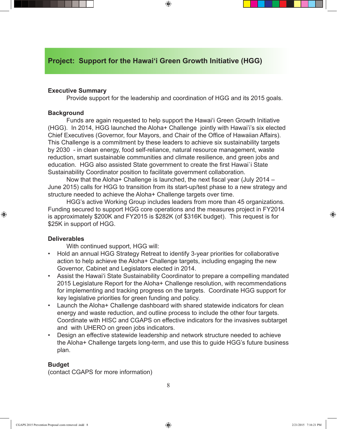## **Project: Support for the Hawai'i Green Growth Initiative (HGG)**

## **Executive Summary**

 Provide support for the leadership and coordination of HGG and its 2015 goals.

 $\textcircled{\scriptsize{+}}$ 

## **Background**

 Funds are again requested to help support the Hawaiʻi Green Growth Initiative (HGG). In 2014, HGG launched the Aloha+ Challenge jointly with Hawai'i's six elected Chief Executives (Governor, four Mayors, and Chair of the Office of Hawaiian Affairs). This Challenge is a commitment by these leaders to achieve six sustainability targets by 2030 - in clean energy, food self-reliance, natural resource management, waste reduction, smart sustainable communities and climate resilience, and green jobs and education. HGG also assisted State government to create the first Hawai`i State Sustainability Coordinator position to facilitate government collaboration.

 Now that the Aloha+ Challenge is launched, the next fiscal year (July 2014 – June 2015) calls for HGG to transition from its start-up/test phase to a new strategy and structure needed to achieve the Aloha+ Challenge targets over time.

 HGG's active Working Group includes leaders from more than 45 organizations. Funding secured to support HGG core operations and the measures project in FY2014 is approximately \$200K and FY2015 is \$282K (of \$316K budget). This request is for \$25K in support of HGG.

#### **Deliverables**

⊕

 With continued support, HGG will:

- Hold an annual HGG Strategy Retreat to identify 3-year priorities for collaborative action to help achieve the Aloha+ Challenge targets, including engaging the new Governor, Cabinet and Legislators elected in 2014.
- Assist the Hawai'i State Sustainability Coordinator to prepare a compelling mandated 2015 Legislature Report for the Aloha+ Challenge resolution, with recommendations for implementing and tracking progress on the targets. Coordinate HGG support for key legislative priorities for green funding and policy.
- Launch the Aloha+ Challenge dashboard with shared statewide indicators for clean energy and waste reduction, and outline process to include the other four targets. Coordinate with HISC and CGAPS on effective indicators for the invasives subtarget and with UHERO on green jobs indicators.
- Design an effective statewide leadership and network structure needed to achieve the Aloha+ Challenge targets long-term, and use this to guide HGG's future business plan.

### **Budget**

(contact CGAPS for more information)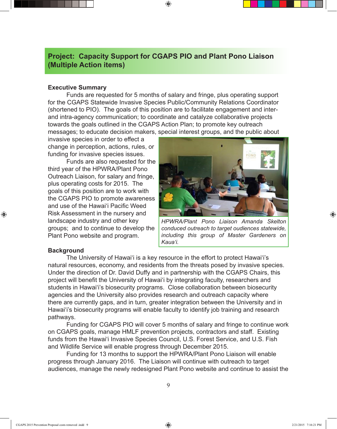## **Project: Capacity Support for CGAPS PIO and Plant Pono Liaison (Multiple Action items)**

 $\textcircled{\scriptsize{+}}$ 

## **Executive Summary**

 Funds are requested for 5 months of salary and fringe, plus operating support for the CGAPS Statewide Invasive Species Public/Community Relations Coordinator (shortened to PIO). The goals of this position are to facilitate engagement and interand intra-agency communication; to coordinate and catalyze collaborative projects towards the goals outlined in the CGAPS Action Plan; to promote key outreach messages; to educate decision makers, special interest groups, and the public about

invasive species in order to effect a change in perception, actions, rules, or funding for invasive species issues.

 Funds are also requested for the third year of the HPWRA/Plant Pono Outreach Liaison, for salary and fringe, plus operating costs for 2015. The goals of this position are to work with the CGAPS PIO to promote awareness and use of the Hawaiʻi Pacific Weed Risk Assessment in the nursery and landscape industry and other key groups; and to continue to develop the Plant Pono website and program.



*HPWRA/Plant Pono Liaison Amanda Skelton conduced outreach to target oudiences statewide, including this group of Master Gardeners on Kauaʻi.* 

### **Background**

⊕

 The University of Hawaiʻi is a key resource in the effort to protect Hawaiʻi's natural resources, economy, and residents from the threats posed by invasive species. Under the direction of Dr. David Duffy and in partnership with the CGAPS Chairs, this project will benefit the University of Hawaiʻi by integrating faculty, researchers and students in Hawaiʻi's biosecurity programs. Close collaboration between biosecurity agencies and the University also provides research and outreach capacity where there are currently gaps, and in turn, greater integration between the University and in Hawaiʻi's biosecurity programs will enable faculty to identify job training and research pathways.

 Funding for CGAPS PIO will cover 5 months of salary and fringe to continue work on CGAPS goals, manage HMLF prevention projects, contractors and staff. Existing funds from the Hawaiʻi Invasive Species Council, U.S. Forest Service, and U.S. Fish and Wildlife Service will enable progress through December 2015.

 Funding for 13 months to support the HPWRA/Plant Pono Liaison will enable progress through January 2016. The Liaison will continue with outreach to target audiences, manage the newly redesigned Plant Pono website and continue to assist the